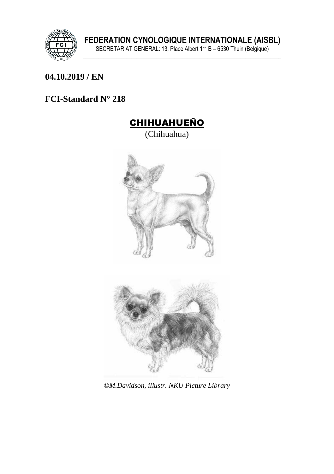

#### **\_\_\_\_\_\_\_\_\_\_\_\_\_\_\_\_\_\_\_\_\_\_\_\_\_\_\_\_\_\_\_\_\_\_\_\_\_\_\_\_\_\_\_\_\_\_\_\_\_\_\_\_\_\_\_\_\_\_\_\_\_\_\_ 04.10.2019 / EN**

## **FCI-Standard N° 218**





©*M.Davidson, illustr. NKU Picture Library*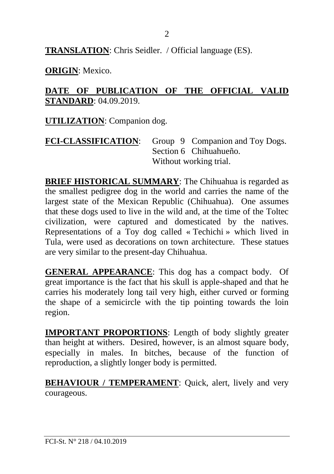**TRANSLATION**: Chris Seidler. / Official language (ES).

**ORIGIN**: Mexico.

#### **DATE OF PUBLICATION OF THE OFFICIAL VALID STANDARD**: 04.09.2019.

**UTILIZATION**: Companion dog.

**FCI-CLASSIFICATION**: Group 9 Companion and Toy Dogs. Section 6 Chihuahueño. Without working trial.

**BRIEF HISTORICAL SUMMARY**: The Chihuahua is regarded as the smallest pedigree dog in the world and carries the name of the largest state of the Mexican Republic (Chihuahua). One assumes that these dogs used to live in the wild and, at the time of the Toltec civilization, were captured and domesticated by the natives. Representations of a Toy dog called « Techichi » which lived in Tula, were used as decorations on town architecture. These statues are very similar to the present-day Chihuahua.

**GENERAL APPEARANCE**: This dog has a compact body. Of great importance is the fact that his skull is apple-shaped and that he carries his moderately long tail very high, either curved or forming the shape of a semicircle with the tip pointing towards the loin region.

**IMPORTANT PROPORTIONS**: Length of body slightly greater than height at withers. Desired, however, is an almost square body, especially in males. In bitches, because of the function of reproduction, a slightly longer body is permitted.

**BEHAVIOUR / TEMPERAMENT:** Ouick, alert, lively and very courageous.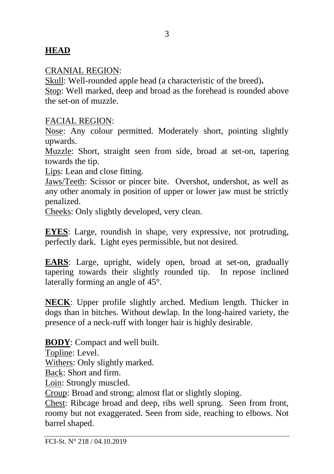#### **HEAD**

#### CRANIAL REGION:

Skull: Well-rounded apple head (a characteristic of the breed)**.** Stop: Well marked, deep and broad as the forehead is rounded above the set-on of muzzle.

#### FACIAL REGION:

Nose: Any colour permitted. Moderately short, pointing slightly upwards.

Muzzle: Short, straight seen from side, broad at set-on, tapering towards the tip.

Lips: Lean and close fitting.

Jaws/Teeth: Scissor or pincer bite. Overshot, undershot, as well as any other anomaly in position of upper or lower jaw must be strictly penalized.

Cheeks: Only slightly developed, very clean.

**EYES**: Large, roundish in shape, very expressive, not protruding, perfectly dark. Light eyes permissible, but not desired.

**EARS**: Large, upright, widely open, broad at set-on, gradually tapering towards their slightly rounded tip. In repose inclined laterally forming an angle of 45°.

**NECK**: Upper profile slightly arched. Medium length. Thicker in dogs than in bitches. Without dewlap. In the long-haired variety, the presence of a neck-ruff with longer hair is highly desirable.

**BODY**: Compact and well built.

Topline: Level.

Withers: Only slightly marked.

Back: Short and firm.

Loin: Strongly muscled.

Croup: Broad and strong; almost flat or slightly sloping.

Chest: Ribcage broad and deep, ribs well sprung. Seen from front, roomy but not exaggerated. Seen from side, reaching to elbows. Not barrel shaped.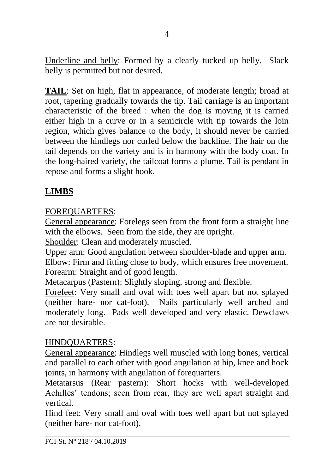Underline and belly: Formed by a clearly tucked up belly. Slack belly is permitted but not desired.

**TAIL**: Set on high, flat in appearance, of moderate length; broad at root, tapering gradually towards the tip. Tail carriage is an important characteristic of the breed : when the dog is moving it is carried either high in a curve or in a semicircle with tip towards the loin region, which gives balance to the body, it should never be carried between the hindlegs nor curled below the backline. The hair on the tail depends on the variety and is in harmony with the body coat. In the long-haired variety, the tailcoat forms a plume. Tail is pendant in repose and forms a slight hook.

## **LIMBS**

## FOREQUARTERS:

General appearance: Forelegs seen from the front form a straight line with the elbows. Seen from the side, they are upright.

Shoulder: Clean and moderately muscled.

Upper arm: Good angulation between shoulder-blade and upper arm. Elbow: Firm and fitting close to body, which ensures free movement. Forearm: Straight and of good length.

Metacarpus (Pastern): Slightly sloping, strong and flexible.

Forefeet: Very small and oval with toes well apart but not splayed (neither hare- nor cat-foot). Nails particularly well arched and moderately long. Pads well developed and very elastic. Dewclaws are not desirable.

## HINDQUARTERS:

General appearance: Hindlegs well muscled with long bones, vertical and parallel to each other with good angulation at hip, knee and hock joints, in harmony with angulation of forequarters.

Metatarsus (Rear pastern): Short hocks with well-developed Achilles' tendons; seen from rear, they are well apart straight and vertical.

Hind feet: Very small and oval with toes well apart but not splayed (neither hare- nor cat-foot).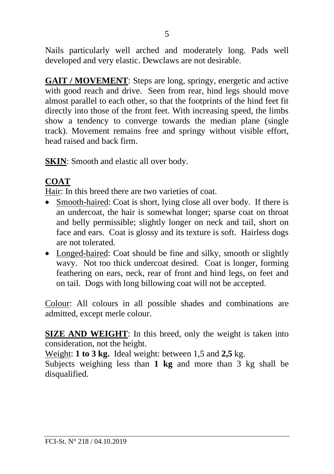Nails particularly well arched and moderately long. Pads well developed and very elastic. Dewclaws are not desirable.

**GAIT / MOVEMENT**: Steps are long, springy, energetic and active with good reach and drive. Seen from rear, hind legs should move almost parallel to each other, so that the footprints of the hind feet fit directly into those of the front feet. With increasing speed, the limbs show a tendency to converge towards the median plane (single track). Movement remains free and springy without visible effort, head raised and back firm.

**SKIN**: Smooth and elastic all over body.

## **COAT**

Hair: In this breed there are two varieties of coat.

- Smooth-haired: Coat is short, lying close all over body. If there is an undercoat, the hair is somewhat longer; sparse coat on throat and belly permissible; slightly longer on neck and tail, short on face and ears. Coat is glossy and its texture is soft. Hairless dogs are not tolerated.
- Longed-haired: Coat should be fine and silky, smooth or slightly wavy. Not too thick undercoat desired. Coat is longer, forming feathering on ears, neck, rear of front and hind legs, on feet and on tail. Dogs with long billowing coat will not be accepted.

Colour: All colours in all possible shades and combinations are admitted, except merle colour.

**SIZE AND WEIGHT**: In this breed, only the weight is taken into consideration, not the height.

Weight: **1 to 3 kg.** Ideal weight: between 1,5 and **2,5** kg.

Subjects weighing less than **1 kg** and more than 3 kg shall be disqualified.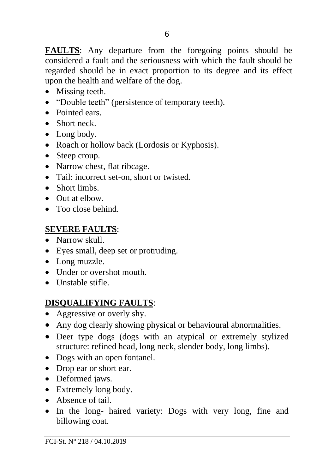**FAULTS**: Any departure from the foregoing points should be considered a fault and the seriousness with which the fault should be regarded should be in exact proportion to its degree and its effect upon the health and welfare of the dog.

- Missing teeth.
- "Double teeth" (persistence of temporary teeth).
- Pointed ears.
- Short neck.
- Long body.
- Roach or hollow back (Lordosis or Kyphosis).
- Steep croup.
- Narrow chest, flat ribcage.
- Tail: incorrect set-on, short or twisted.
- Short limbs.
- Out at elbow.
- Too close behind.

#### **SEVERE FAULTS**:

- Narrow skull
- Eyes small, deep set or protruding.
- Long muzzle.
- Under or overshot mouth.
- Unstable stifle.

## **DISQUALIFYING FAULTS**:

- Aggressive or overly shy.
- Any dog clearly showing physical or behavioural abnormalities.
- Deer type dogs (dogs with an atypical or extremely stylized structure: refined head, long neck, slender body, long limbs).
- Dogs with an open fontanel.
- Drop ear or short ear.
- Deformed jaws.
- Extremely long body.
- Absence of tail.
- In the long- haired variety: Dogs with very long, fine and billowing coat.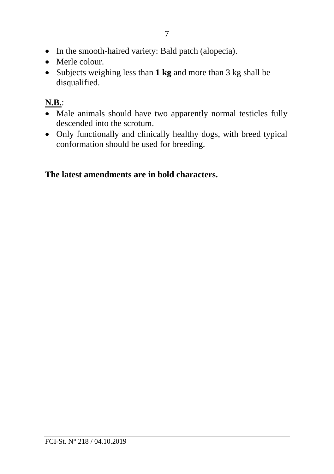- In the smooth-haired variety: Bald patch (alopecia).
- Merle colour.
- Subjects weighing less than **1 kg** and more than 3 kg shall be disqualified.

# **N.B.**:

- Male animals should have two apparently normal testicles fully descended into the scrotum.
- Only functionally and clinically healthy dogs, with breed typical conformation should be used for breeding.

## **The latest amendments are in bold characters.**